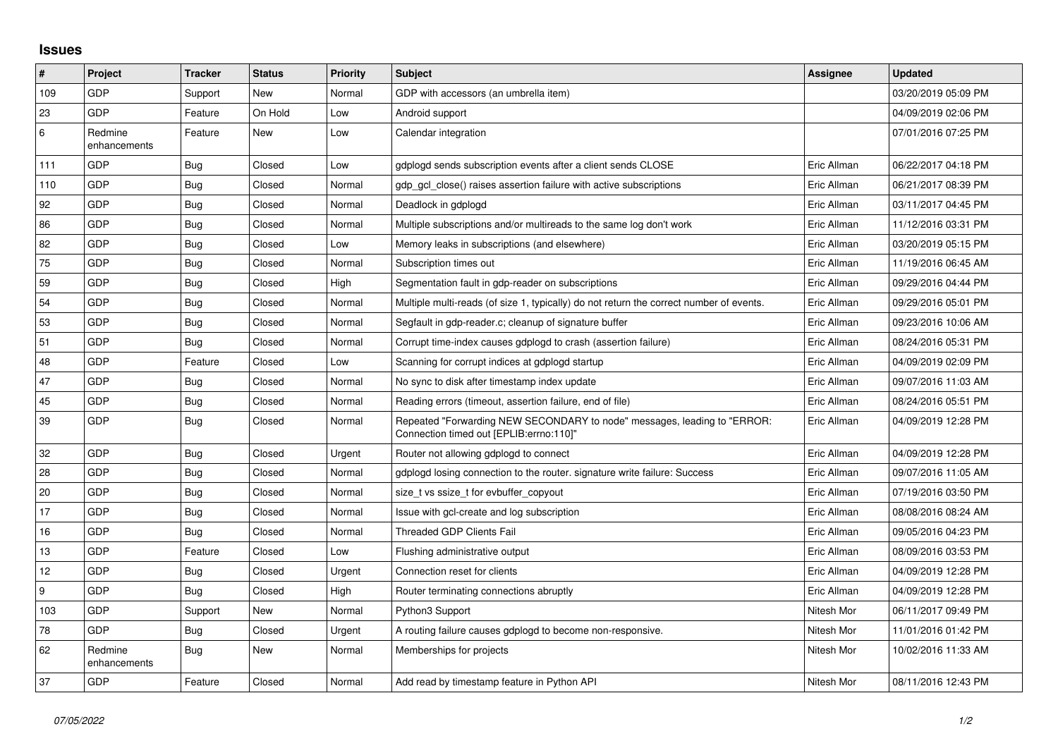## **Issues**

| $\sharp$         | Project                 | <b>Tracker</b> | <b>Status</b> | <b>Priority</b> | <b>Subject</b>                                                                                                      | Assignee    | <b>Updated</b>      |
|------------------|-------------------------|----------------|---------------|-----------------|---------------------------------------------------------------------------------------------------------------------|-------------|---------------------|
| 109              | GDP                     | Support        | New           | Normal          | GDP with accessors (an umbrella item)                                                                               |             | 03/20/2019 05:09 PM |
| 23               | GDP                     | Feature        | On Hold       | Low             | Android support                                                                                                     |             | 04/09/2019 02:06 PM |
| 6                | Redmine<br>enhancements | Feature        | New           | Low             | Calendar integration                                                                                                |             | 07/01/2016 07:25 PM |
| 111              | GDP                     | Bug            | Closed        | Low             | gdplogd sends subscription events after a client sends CLOSE                                                        | Eric Allman | 06/22/2017 04:18 PM |
| 110              | <b>GDP</b>              | Bug            | Closed        | Normal          | gdp gcl close() raises assertion failure with active subscriptions                                                  | Eric Allman | 06/21/2017 08:39 PM |
| 92               | GDP                     | <b>Bug</b>     | Closed        | Normal          | Deadlock in gdplogd                                                                                                 | Eric Allman | 03/11/2017 04:45 PM |
| 86               | GDP                     | Bug            | Closed        | Normal          | Multiple subscriptions and/or multireads to the same log don't work                                                 | Eric Allman | 11/12/2016 03:31 PM |
| 82               | <b>GDP</b>              | <b>Bug</b>     | Closed        | Low             | Memory leaks in subscriptions (and elsewhere)                                                                       | Eric Allman | 03/20/2019 05:15 PM |
| 75               | GDP                     | Bug            | Closed        | Normal          | Subscription times out                                                                                              | Eric Allman | 11/19/2016 06:45 AM |
| 59               | GDP                     | Bug            | Closed        | High            | Segmentation fault in gdp-reader on subscriptions                                                                   | Eric Allman | 09/29/2016 04:44 PM |
| 54               | GDP                     | Bug            | Closed        | Normal          | Multiple multi-reads (of size 1, typically) do not return the correct number of events.                             | Eric Allman | 09/29/2016 05:01 PM |
| 53               | GDP                     | Bug            | Closed        | Normal          | Segfault in gdp-reader.c; cleanup of signature buffer                                                               | Eric Allman | 09/23/2016 10:06 AM |
| 51               | GDP                     | Bug            | Closed        | Normal          | Corrupt time-index causes gdplogd to crash (assertion failure)                                                      | Eric Allman | 08/24/2016 05:31 PM |
| 48               | GDP                     | Feature        | Closed        | Low             | Scanning for corrupt indices at gdplogd startup                                                                     | Eric Allman | 04/09/2019 02:09 PM |
| 47               | GDP                     | Bug            | Closed        | Normal          | No sync to disk after timestamp index update                                                                        | Eric Allman | 09/07/2016 11:03 AM |
| 45               | <b>GDP</b>              | <b>Bug</b>     | Closed        | Normal          | Reading errors (timeout, assertion failure, end of file)                                                            | Eric Allman | 08/24/2016 05:51 PM |
| 39               | GDP                     | Bug            | Closed        | Normal          | Repeated "Forwarding NEW SECONDARY to node" messages, leading to "ERROR:<br>Connection timed out [EPLIB:errno:110]" | Eric Allman | 04/09/2019 12:28 PM |
| 32               | <b>GDP</b>              | Bug            | Closed        | Urgent          | Router not allowing gdplogd to connect                                                                              | Eric Allman | 04/09/2019 12:28 PM |
| 28               | GDP                     | Bug            | Closed        | Normal          | gdplogd losing connection to the router. signature write failure: Success                                           | Eric Allman | 09/07/2016 11:05 AM |
| 20               | GDP                     | Bug            | Closed        | Normal          | size_t vs ssize_t for evbuffer_copyout                                                                              | Eric Allman | 07/19/2016 03:50 PM |
| 17               | GDP                     | <b>Bug</b>     | Closed        | Normal          | Issue with gcl-create and log subscription                                                                          | Eric Allman | 08/08/2016 08:24 AM |
| 16               | GDP                     | Bug            | Closed        | Normal          | <b>Threaded GDP Clients Fail</b>                                                                                    | Eric Allman | 09/05/2016 04:23 PM |
| 13               | GDP                     | Feature        | Closed        | Low             | Flushing administrative output                                                                                      | Eric Allman | 08/09/2016 03:53 PM |
| 12               | GDP                     | Bug            | Closed        | Urgent          | Connection reset for clients                                                                                        | Eric Allman | 04/09/2019 12:28 PM |
| $\boldsymbol{9}$ | GDP                     | Bug            | Closed        | High            | Router terminating connections abruptly                                                                             | Eric Allman | 04/09/2019 12:28 PM |
| 103              | GDP                     | Support        | New           | Normal          | Python3 Support                                                                                                     | Nitesh Mor  | 06/11/2017 09:49 PM |
| 78               | <b>GDP</b>              | Bug            | Closed        | Urgent          | A routing failure causes gdplogd to become non-responsive.                                                          | Nitesh Mor  | 11/01/2016 01:42 PM |
| 62               | Redmine<br>enhancements | <b>Bug</b>     | New           | Normal          | Memberships for projects                                                                                            | Nitesh Mor  | 10/02/2016 11:33 AM |
| 37               | <b>GDP</b>              | Feature        | Closed        | Normal          | Add read by timestamp feature in Python API                                                                         | Nitesh Mor  | 08/11/2016 12:43 PM |